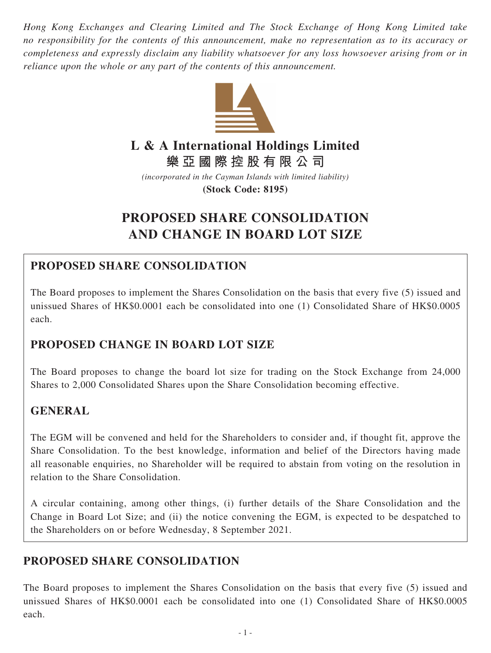*Hong Kong Exchanges and Clearing Limited and The Stock Exchange of Hong Kong Limited take no responsibility for the contents of this announcement, make no representation as to its accuracy or completeness and expressly disclaim any liability whatsoever for any loss howsoever arising from or in reliance upon the whole or any part of the contents of this announcement.*



# **L & A International Holdings Limited**

**樂亞國際控股有限公司**

*(incorporated in the Cayman Islands with limited liability)* **(Stock Code: 8195)**

# **PROPOSED SHARE CONSOLIDATION AND CHANGE IN BOARD LOT SIZE**

## **PROPOSED SHARE CONSOLIDATION**

The Board proposes to implement the Shares Consolidation on the basis that every five (5) issued and unissued Shares of HK\$0.0001 each be consolidated into one (1) Consolidated Share of HK\$0.0005 each.

## **PROPOSED CHANGE IN BOARD LOT SIZE**

The Board proposes to change the board lot size for trading on the Stock Exchange from 24,000 Shares to 2,000 Consolidated Shares upon the Share Consolidation becoming effective.

## **GENERAL**

The EGM will be convened and held for the Shareholders to consider and, if thought fit, approve the Share Consolidation. To the best knowledge, information and belief of the Directors having made all reasonable enquiries, no Shareholder will be required to abstain from voting on the resolution in relation to the Share Consolidation.

A circular containing, among other things, (i) further details of the Share Consolidation and the Change in Board Lot Size; and (ii) the notice convening the EGM, is expected to be despatched to the Shareholders on or before Wednesday, 8 September 2021.

## **PROPOSED SHARE CONSOLIDATION**

The Board proposes to implement the Shares Consolidation on the basis that every five (5) issued and unissued Shares of HK\$0.0001 each be consolidated into one (1) Consolidated Share of HK\$0.0005 each.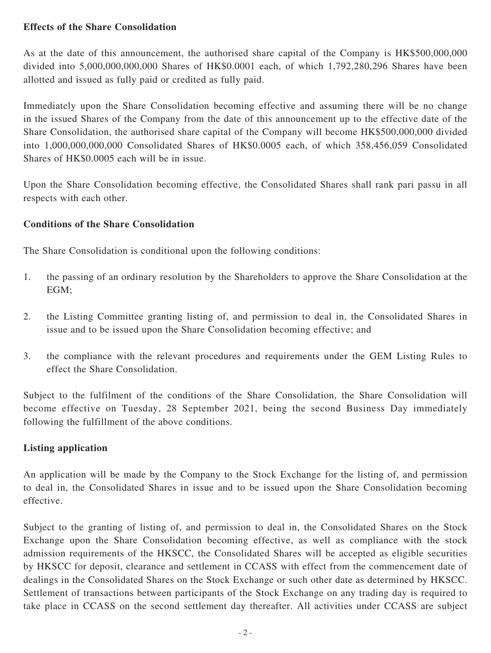### **Effects of the Share Consolidation**

As at the date of this announcement, the authorised share capital of the Company is HK\$500,000,000 divided into 5,000,000,000,000 Shares of HK\$0.0001 each, of which 1,792,280,296 Shares have been allotted and issued as fully paid or credited as fully paid.

Immediately upon the Share Consolidation becoming effective and assuming there will be no change in the issued Shares of the Company from the date of this announcement up to the effective date of the Share Consolidation, the authorised share capital of the Company will become HK\$500,000,000 divided into 1,000,000,000,000 Consolidated Shares of HK\$0.0005 each, of which 358,456,059 Consolidated Shares of HK\$0.0005 each will be in issue.

Upon the Share Consolidation becoming effective, the Consolidated Shares shall rank pari passu in all respects with each other.

#### **Conditions of the Share Consolidation**

The Share Consolidation is conditional upon the following conditions:

- 1. the passing of an ordinary resolution by the Shareholders to approve the Share Consolidation at the EGM;
- 2. the Listing Committee granting listing of, and permission to deal in, the Consolidated Shares in issue and to be issued upon the Share Consolidation becoming effective; and
- 3. the compliance with the relevant procedures and requirements under the GEM Listing Rules to effect the Share Consolidation.

Subject to the fulfilment of the conditions of the Share Consolidation, the Share Consolidation will become effective on Tuesday, 28 September 2021, being the second Business Day immediately following the fulfillment of the above conditions.

### **Listing application**

An application will be made by the Company to the Stock Exchange for the listing of, and permission to deal in, the Consolidated Shares in issue and to be issued upon the Share Consolidation becoming effective.

Subject to the granting of listing of, and permission to deal in, the Consolidated Shares on the Stock Exchange upon the Share Consolidation becoming effective, as well as compliance with the stock admission requirements of the HKSCC, the Consolidated Shares will be accepted as eligible securities by HKSCC for deposit, clearance and settlement in CCASS with effect from the commencement date of dealings in the Consolidated Shares on the Stock Exchange or such other date as determined by HKSCC. Settlement of transactions between participants of the Stock Exchange on any trading day is required to take place in CCASS on the second settlement day thereafter. All activities under CCASS are subject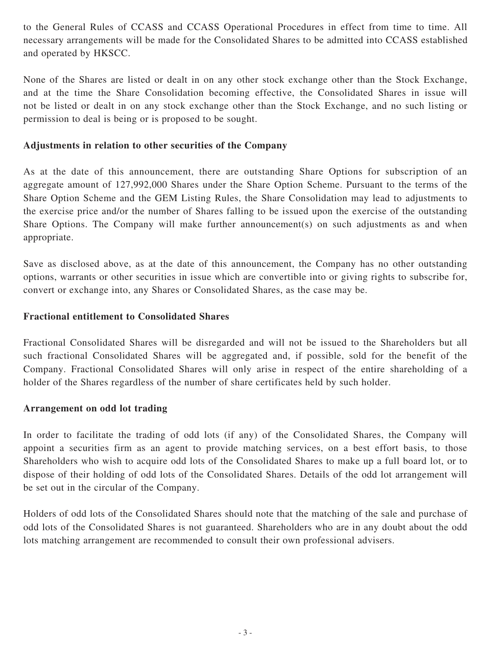to the General Rules of CCASS and CCASS Operational Procedures in effect from time to time. All necessary arrangements will be made for the Consolidated Shares to be admitted into CCASS established and operated by HKSCC.

None of the Shares are listed or dealt in on any other stock exchange other than the Stock Exchange, and at the time the Share Consolidation becoming effective, the Consolidated Shares in issue will not be listed or dealt in on any stock exchange other than the Stock Exchange, and no such listing or permission to deal is being or is proposed to be sought.

#### **Adjustments in relation to other securities of the Company**

As at the date of this announcement, there are outstanding Share Options for subscription of an aggregate amount of 127,992,000 Shares under the Share Option Scheme. Pursuant to the terms of the Share Option Scheme and the GEM Listing Rules, the Share Consolidation may lead to adjustments to the exercise price and/or the number of Shares falling to be issued upon the exercise of the outstanding Share Options. The Company will make further announcement(s) on such adjustments as and when appropriate.

Save as disclosed above, as at the date of this announcement, the Company has no other outstanding options, warrants or other securities in issue which are convertible into or giving rights to subscribe for, convert or exchange into, any Shares or Consolidated Shares, as the case may be.

#### **Fractional entitlement to Consolidated Shares**

Fractional Consolidated Shares will be disregarded and will not be issued to the Shareholders but all such fractional Consolidated Shares will be aggregated and, if possible, sold for the benefit of the Company. Fractional Consolidated Shares will only arise in respect of the entire shareholding of a holder of the Shares regardless of the number of share certificates held by such holder.

#### **Arrangement on odd lot trading**

In order to facilitate the trading of odd lots (if any) of the Consolidated Shares, the Company will appoint a securities firm as an agent to provide matching services, on a best effort basis, to those Shareholders who wish to acquire odd lots of the Consolidated Shares to make up a full board lot, or to dispose of their holding of odd lots of the Consolidated Shares. Details of the odd lot arrangement will be set out in the circular of the Company.

Holders of odd lots of the Consolidated Shares should note that the matching of the sale and purchase of odd lots of the Consolidated Shares is not guaranteed. Shareholders who are in any doubt about the odd lots matching arrangement are recommended to consult their own professional advisers.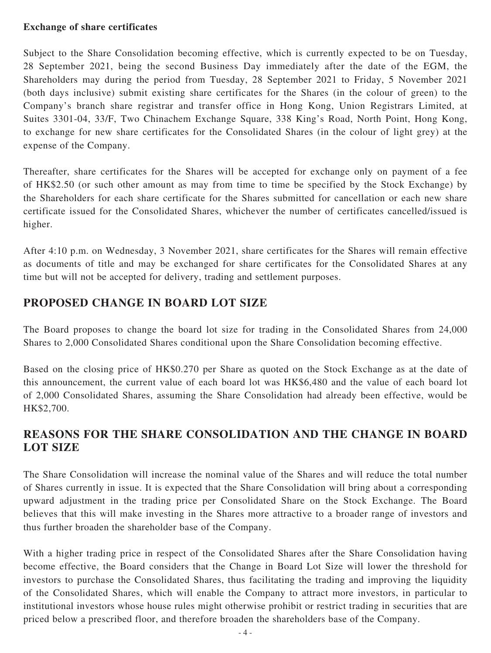#### **Exchange of share certificates**

Subject to the Share Consolidation becoming effective, which is currently expected to be on Tuesday, 28 September 2021, being the second Business Day immediately after the date of the EGM, the Shareholders may during the period from Tuesday, 28 September 2021 to Friday, 5 November 2021 (both days inclusive) submit existing share certificates for the Shares (in the colour of green) to the Company's branch share registrar and transfer office in Hong Kong, Union Registrars Limited, at Suites 3301-04, 33/F, Two Chinachem Exchange Square, 338 King's Road, North Point, Hong Kong, to exchange for new share certificates for the Consolidated Shares (in the colour of light grey) at the expense of the Company.

Thereafter, share certificates for the Shares will be accepted for exchange only on payment of a fee of HK\$2.50 (or such other amount as may from time to time be specified by the Stock Exchange) by the Shareholders for each share certificate for the Shares submitted for cancellation or each new share certificate issued for the Consolidated Shares, whichever the number of certificates cancelled/issued is higher.

After 4:10 p.m. on Wednesday, 3 November 2021, share certificates for the Shares will remain effective as documents of title and may be exchanged for share certificates for the Consolidated Shares at any time but will not be accepted for delivery, trading and settlement purposes.

## **PROPOSED CHANGE IN BOARD LOT SIZE**

The Board proposes to change the board lot size for trading in the Consolidated Shares from 24,000 Shares to 2,000 Consolidated Shares conditional upon the Share Consolidation becoming effective.

Based on the closing price of HK\$0.270 per Share as quoted on the Stock Exchange as at the date of this announcement, the current value of each board lot was HK\$6,480 and the value of each board lot of 2,000 Consolidated Shares, assuming the Share Consolidation had already been effective, would be HK\$2,700.

## **REASONS FOR THE SHARE CONSOLIDATION AND THE CHANGE IN BOARD LOT SIZE**

The Share Consolidation will increase the nominal value of the Shares and will reduce the total number of Shares currently in issue. It is expected that the Share Consolidation will bring about a corresponding upward adjustment in the trading price per Consolidated Share on the Stock Exchange. The Board believes that this will make investing in the Shares more attractive to a broader range of investors and thus further broaden the shareholder base of the Company.

With a higher trading price in respect of the Consolidated Shares after the Share Consolidation having become effective, the Board considers that the Change in Board Lot Size will lower the threshold for investors to purchase the Consolidated Shares, thus facilitating the trading and improving the liquidity of the Consolidated Shares, which will enable the Company to attract more investors, in particular to institutional investors whose house rules might otherwise prohibit or restrict trading in securities that are priced below a prescribed floor, and therefore broaden the shareholders base of the Company.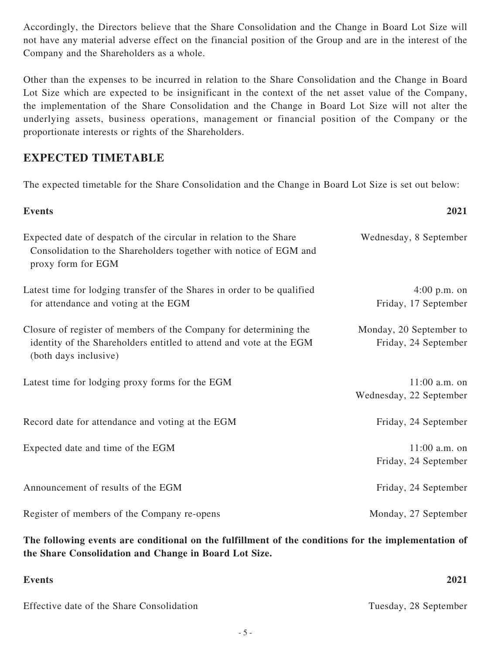Accordingly, the Directors believe that the Share Consolidation and the Change in Board Lot Size will not have any material adverse effect on the financial position of the Group and are in the interest of the Company and the Shareholders as a whole.

Other than the expenses to be incurred in relation to the Share Consolidation and the Change in Board Lot Size which are expected to be insignificant in the context of the net asset value of the Company, the implementation of the Share Consolidation and the Change in Board Lot Size will not alter the underlying assets, business operations, management or financial position of the Company or the proportionate interests or rights of the Shareholders.

## **EXPECTED TIMETABLE**

The expected timetable for the Share Consolidation and the Change in Board Lot Size is set out below:

| <b>Events</b>                                                                                                                                                     | 2021                                            |
|-------------------------------------------------------------------------------------------------------------------------------------------------------------------|-------------------------------------------------|
| Expected date of despatch of the circular in relation to the Share<br>Consolidation to the Shareholders together with notice of EGM and<br>proxy form for EGM     | Wednesday, 8 September                          |
| Latest time for lodging transfer of the Shares in order to be qualified<br>for attendance and voting at the EGM                                                   | $4:00$ p.m. on<br>Friday, 17 September          |
| Closure of register of members of the Company for determining the<br>identity of the Shareholders entitled to attend and vote at the EGM<br>(both days inclusive) | Monday, 20 September to<br>Friday, 24 September |
| Latest time for lodging proxy forms for the EGM                                                                                                                   | $11:00$ a.m. on<br>Wednesday, 22 September      |
| Record date for attendance and voting at the EGM                                                                                                                  | Friday, 24 September                            |
| Expected date and time of the EGM                                                                                                                                 | $11:00$ a.m. on<br>Friday, 24 September         |
| Announcement of results of the EGM                                                                                                                                | Friday, 24 September                            |
| Register of members of the Company re-opens                                                                                                                       | Monday, 27 September                            |

**The following events are conditional on the fulfillment of the conditions for the implementation of the Share Consolidation and Change in Board Lot Size.**

| <b>Events</b>                             | 2021                  |
|-------------------------------------------|-----------------------|
| Effective date of the Share Consolidation | Tuesday, 28 September |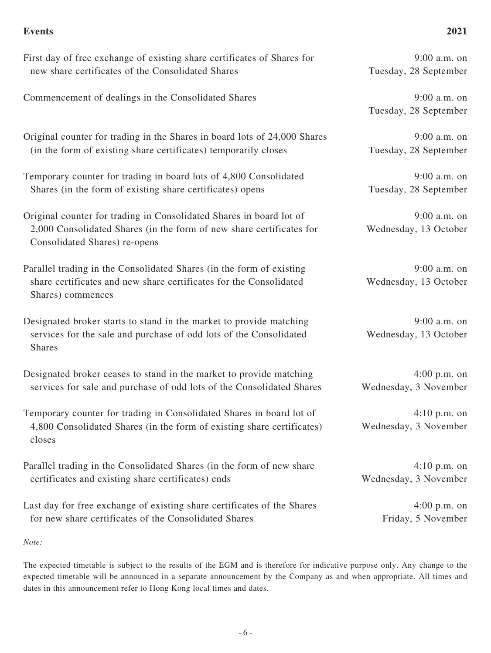#### **Events 2021**

9:00 a.m. on Tuesday, 28 September

Tuesday, 28 September

9:00 a.m. on Tuesday, 28 September

9:00 a.m. on Tuesday, 28 September

9:00 a.m. on Wednesday, 13 October

9:00 a.m. on Wednesday, 13 October

9:00 a.m. on Wednesday, 13 October

4:00 p.m. on Wednesday, 3 November

4:10 p.m. on Wednesday, 3 November

4:10 p.m. on Wednesday, 3 November

> 4:00 p.m. on Friday, 5 November

First day of free exchange of existing share certificates of Shares for new share certificates of the Consolidated Shares Commencement of dealings in the Consolidated Shares 9:00 a.m. on

Original counter for trading in the Shares in board lots of 24,000 Shares (in the form of existing share certificates) temporarily closes

Temporary counter for trading in board lots of 4,800 Consolidated Shares (in the form of existing share certificates) opens

Original counter for trading in Consolidated Shares in board lot of 2,000 Consolidated Shares (in the form of new share certificates for Consolidated Shares) re-opens

Parallel trading in the Consolidated Shares (in the form of existing share certificates and new share certificates for the Consolidated Shares) commences

Designated broker starts to stand in the market to provide matching services for the sale and purchase of odd lots of the Consolidated Shares

Designated broker ceases to stand in the market to provide matching services for sale and purchase of odd lots of the Consolidated Shares

Temporary counter for trading in Consolidated Shares in board lot of 4,800 Consolidated Shares (in the form of existing share certificates) closes

Parallel trading in the Consolidated Shares (in the form of new share certificates and existing share certificates) ends

Last day for free exchange of existing share certificates of the Shares for new share certificates of the Consolidated Shares

*Note:*

The expected timetable is subject to the results of the EGM and is therefore for indicative purpose only. Any change to the expected timetable will be announced in a separate announcement by the Company as and when appropriate. All times and dates in this announcement refer to Hong Kong local times and dates.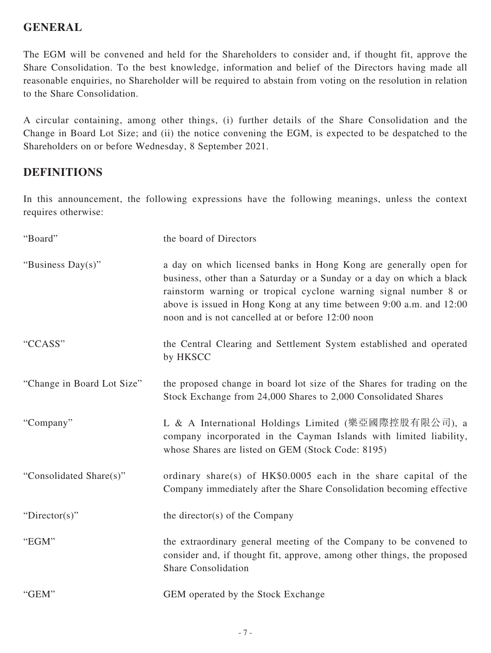## **GENERAL**

The EGM will be convened and held for the Shareholders to consider and, if thought fit, approve the Share Consolidation. To the best knowledge, information and belief of the Directors having made all reasonable enquiries, no Shareholder will be required to abstain from voting on the resolution in relation to the Share Consolidation.

A circular containing, among other things, (i) further details of the Share Consolidation and the Change in Board Lot Size; and (ii) the notice convening the EGM, is expected to be despatched to the Shareholders on or before Wednesday, 8 September 2021.

## **DEFINITIONS**

In this announcement, the following expressions have the following meanings, unless the context requires otherwise:

| "Board"                    | the board of Directors                                                                                                                                                                                                                                                                                                                      |
|----------------------------|---------------------------------------------------------------------------------------------------------------------------------------------------------------------------------------------------------------------------------------------------------------------------------------------------------------------------------------------|
| "Business Day(s)"          | a day on which licensed banks in Hong Kong are generally open for<br>business, other than a Saturday or a Sunday or a day on which a black<br>rainstorm warning or tropical cyclone warning signal number 8 or<br>above is issued in Hong Kong at any time between 9:00 a.m. and 12:00<br>noon and is not cancelled at or before 12:00 noon |
| "CCASS"                    | the Central Clearing and Settlement System established and operated<br>by HKSCC                                                                                                                                                                                                                                                             |
| "Change in Board Lot Size" | the proposed change in board lot size of the Shares for trading on the<br>Stock Exchange from 24,000 Shares to 2,000 Consolidated Shares                                                                                                                                                                                                    |
| "Company"                  | L & A International Holdings Limited (樂亞國際控股有限公司), a<br>company incorporated in the Cayman Islands with limited liability,<br>whose Shares are listed on GEM (Stock Code: 8195)                                                                                                                                                             |
| "Consolidated Share(s)"    | ordinary share(s) of HK\$0.0005 each in the share capital of the<br>Company immediately after the Share Consolidation becoming effective                                                                                                                                                                                                    |
| "Director(s)"              | the director(s) of the Company                                                                                                                                                                                                                                                                                                              |
| "EGM"                      | the extraordinary general meeting of the Company to be convened to<br>consider and, if thought fit, approve, among other things, the proposed<br><b>Share Consolidation</b>                                                                                                                                                                 |
| "GEM"                      | GEM operated by the Stock Exchange                                                                                                                                                                                                                                                                                                          |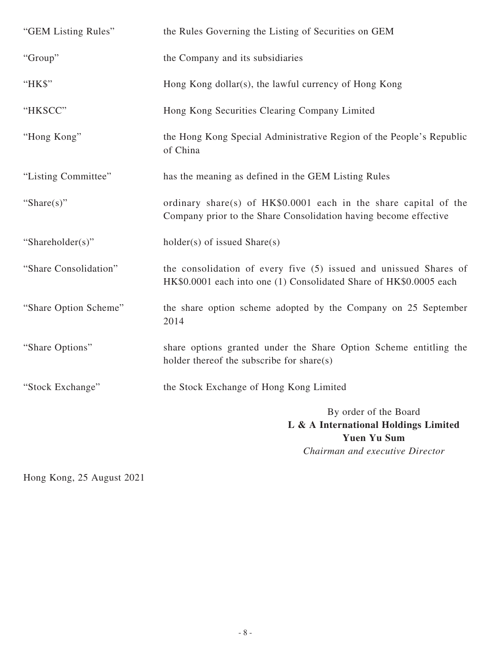| "GEM Listing Rules"   | the Rules Governing the Listing of Securities on GEM                                                                                    |
|-----------------------|-----------------------------------------------------------------------------------------------------------------------------------------|
| "Group"               | the Company and its subsidiaries                                                                                                        |
| "HK\$"                | Hong Kong dollar(s), the lawful currency of Hong Kong                                                                                   |
| "HKSCC"               | Hong Kong Securities Clearing Company Limited                                                                                           |
| "Hong Kong"           | the Hong Kong Special Administrative Region of the People's Republic<br>of China                                                        |
| "Listing Committee"   | has the meaning as defined in the GEM Listing Rules                                                                                     |
| "Share $(s)$ "        | ordinary share(s) of HK\$0.0001 each in the share capital of the<br>Company prior to the Share Consolidation having become effective    |
| "Shareholder(s)"      | $holder(s)$ of issued $Share(s)$                                                                                                        |
| "Share Consolidation" | the consolidation of every five (5) issued and unissued Shares of<br>HK\$0.0001 each into one (1) Consolidated Share of HK\$0.0005 each |
| "Share Option Scheme" | the share option scheme adopted by the Company on 25 September<br>2014                                                                  |
| "Share Options"       | share options granted under the Share Option Scheme entitling the<br>holder thereof the subscribe for share $(s)$                       |
| "Stock Exchange"      | the Stock Exchange of Hong Kong Limited                                                                                                 |
|                       | By order of the Board<br>L & A International Holdings Limited<br><b>Yuen Yu Sum</b><br>Chairman and executive Director                  |

Hong Kong, 25 August 2021